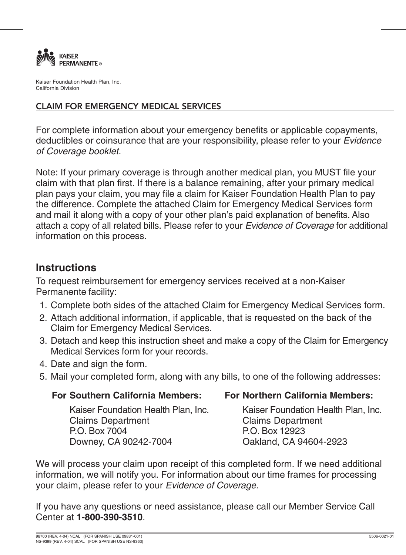

Kaiser Foundation Health Plan, Inc. California Division

## CLAIM FOR EMERGENCY MEDICAL SERVICES

For complete information about your emergency benefits or applicable copayments, deductibles or coinsurance that are your responsibility, please refer to your Evidence of Coverage booklet.

Note: If your primary coverage is through another medical plan, you MUST file your claim with that plan first. If there is a balance remaining, after your primary medical plan pays your claim, you may file a claim for Kaiser Foundation Health Plan to pay the difference. Complete the attached Claim for Emergency Medical Services form and mail it along with a copy of your other plan's paid explanation of benefits. Also attach a copy of all related bills. Please refer to your Evidence of Coverage for additional information on this process.

# **Instructions**

To request reimbursement for emergency services received at a non-Kaiser Permanente facility:

- 1. Complete both sides of the attached Claim for Emergency Medical Services form.
- 2. Attach additional information, if applicable, that is requested on the back of the Claim for Emergency Medical Services.
- 3. Detach and keep this instruction sheet and make a copy of the Claim for Emergency Medical Services form for your records.
- 4. Date and sign the form.
- 5. Mail your completed form, along with any bills, to one of the following addresses:

## **For Southern California Members:**

**For Northern California Members:**

Kaiser Foundation Health Plan, Inc. Claims Department P.O. Box 7004 Downey, CA 90242-7004

Kaiser Foundation Health Plan, Inc. Claims Department P.O. Box 12923 Oakland, CA 94604-2923

We will process your claim upon receipt of this completed form. If we need additional information, we will notify you. For information about our time frames for processing your claim, please refer to your Evidence of Coverage.

If you have any questions or need assistance, please call our Member Service Call Center at **1-800-390-3510**.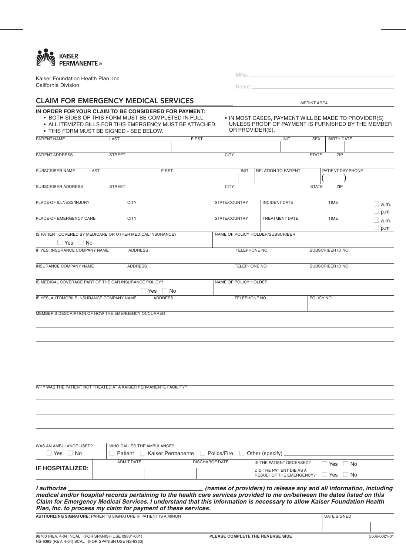| <b>AMA KAISER</b><br>PERMANENTE ® |
|-----------------------------------|
|                                   |

Kaiser Foundation Health Plan, Inc. California Division

MR#: Name:

## CLAIM FOR EMERGENCY MEDICAL SERVICES **IMPRINT AREA**

#### **IN ORDER FOR YOUR CLAIM TO BE CONSIDERED FOR PAYMENT:**

- BOTH SIDES OF THIS FORM MUST BE COMPLETED IN FULL.
- ALL ITEMIZED BILLS FOR THIS EMERGENCY MUST BE ATTACHED.
- THIS FORM MUST BE SIGNED SEE BELOW.
- IN MOST CASES, PAYMENT WILL BE MADE TO PROVIDER(S) UNLESS PROOF OF PAYMENT IS FURNISHED BY THE MEMBER OR PROVIDER(S).

| PATIENT NAME                                                                                                                                                                                                                                                                                                                         | LAST          |                           |                     | <b>FIRST</b>          |                                  |               |                        | <b>INIT</b>                                                 | <b>SEX</b>   | <b>BIRTH DATE</b>    |                   |                                                                    |
|--------------------------------------------------------------------------------------------------------------------------------------------------------------------------------------------------------------------------------------------------------------------------------------------------------------------------------------|---------------|---------------------------|---------------------|-----------------------|----------------------------------|---------------|------------------------|-------------------------------------------------------------|--------------|----------------------|-------------------|--------------------------------------------------------------------|
| PATIENT ADDRESS                                                                                                                                                                                                                                                                                                                      | <b>STREET</b> |                           |                     |                       | <b>CITY</b>                      |               |                        |                                                             | <b>STATE</b> | ZIP                  |                   |                                                                    |
|                                                                                                                                                                                                                                                                                                                                      |               |                           |                     |                       |                                  |               |                        |                                                             |              |                      |                   |                                                                    |
| SUBSCRIBER NAME                                                                                                                                                                                                                                                                                                                      | LAST          |                           | <b>FIRST</b>        |                       |                                  | <b>INIT</b>   | RELATION TO PATIENT    |                                                             |              |                      | PATIENT DAY PHONE |                                                                    |
| SUBSCRIBER ADDRESS                                                                                                                                                                                                                                                                                                                   | <b>STREET</b> |                           |                     |                       | <b>CITY</b>                      |               |                        |                                                             | <b>STATE</b> | ZIP                  |                   |                                                                    |
|                                                                                                                                                                                                                                                                                                                                      |               |                           |                     |                       |                                  |               |                        |                                                             |              |                      |                   |                                                                    |
| PLACE OF ILLNESS/INJURY                                                                                                                                                                                                                                                                                                              |               | <b>CITY</b>               |                     |                       | STATE/COUNTRY                    |               | <b>INCIDENT DATE</b>   |                                                             |              | TIME                 |                   | □ a.m.<br>p.m                                                      |
| PLACE OF EMERGENCY CARE                                                                                                                                                                                                                                                                                                              |               | <b>CITY</b>               |                     |                       | STATE/COUNTRY                    |               |                        | TREATMENT DATE                                              |              | <b>TIME</b>          |                   | a.m.<br>$\Box$ p.m                                                 |
| IS PATIENT COVERED BY MEDICARE OR OTHER MEDICAL INSURANCE?                                                                                                                                                                                                                                                                           |               |                           |                     |                       | NAME OF POLICY HOLDER/SUBSCRIBER |               |                        |                                                             |              |                      |                   |                                                                    |
| Yes   No                                                                                                                                                                                                                                                                                                                             |               |                           |                     |                       |                                  |               |                        |                                                             |              |                      |                   |                                                                    |
| IF YES, INSURANCE COMPANY NAME                                                                                                                                                                                                                                                                                                       |               | <b>ADDRESS</b>            |                     |                       |                                  | TELEPHONE NO. |                        |                                                             |              | SUBSCRIBER ID NO.    |                   |                                                                    |
| INSURANCE COMPANY NAME                                                                                                                                                                                                                                                                                                               |               | <b>ADDRESS</b>            |                     |                       |                                  | TELEPHONE NO  |                        |                                                             |              | SUBSCRIBER ID NO.    |                   |                                                                    |
| IS MEDICAL COVERAGE PART OF THE CAR INSURANCE POLICY?                                                                                                                                                                                                                                                                                |               |                           |                     |                       | NAME OF POLICY HOLDER            |               |                        |                                                             |              |                      |                   |                                                                    |
|                                                                                                                                                                                                                                                                                                                                      |               |                           | Yes   No            |                       |                                  |               |                        |                                                             |              |                      |                   |                                                                    |
| IF YES, AUTOMOBILE INSURANCE COMPANY NAME                                                                                                                                                                                                                                                                                            |               |                           | <b>ADDRESS</b>      |                       |                                  | TELEPHONE NO. |                        |                                                             | POLICY NO.   |                      |                   |                                                                    |
| MEMBER'S DESCRIPTION OF HOW THE EMERGENCY OCCURRED                                                                                                                                                                                                                                                                                   |               |                           |                     |                       |                                  |               |                        |                                                             |              |                      |                   |                                                                    |
|                                                                                                                                                                                                                                                                                                                                      |               |                           |                     |                       |                                  |               |                        |                                                             |              |                      |                   |                                                                    |
|                                                                                                                                                                                                                                                                                                                                      |               |                           |                     |                       |                                  |               |                        |                                                             |              |                      |                   |                                                                    |
|                                                                                                                                                                                                                                                                                                                                      |               |                           |                     |                       |                                  |               |                        |                                                             |              |                      |                   |                                                                    |
|                                                                                                                                                                                                                                                                                                                                      |               |                           |                     |                       |                                  |               |                        |                                                             |              |                      |                   |                                                                    |
|                                                                                                                                                                                                                                                                                                                                      |               |                           |                     |                       |                                  |               |                        |                                                             |              |                      |                   |                                                                    |
| WHY WAS THE PATIENT NOT TREATED AT A KAISER PERMANENTE FACILITY?                                                                                                                                                                                                                                                                     |               |                           |                     |                       |                                  |               |                        |                                                             |              |                      |                   |                                                                    |
|                                                                                                                                                                                                                                                                                                                                      |               |                           |                     |                       |                                  |               |                        |                                                             |              |                      |                   |                                                                    |
|                                                                                                                                                                                                                                                                                                                                      |               |                           |                     |                       |                                  |               |                        |                                                             |              |                      |                   |                                                                    |
|                                                                                                                                                                                                                                                                                                                                      |               |                           |                     |                       |                                  |               |                        |                                                             |              |                      |                   |                                                                    |
|                                                                                                                                                                                                                                                                                                                                      |               |                           |                     |                       |                                  |               |                        |                                                             |              |                      |                   |                                                                    |
| WAS AN AMBULANCE USED?                                                                                                                                                                                                                                                                                                               |               | WHO CALLED THE AMBULANCE? |                     |                       |                                  |               |                        |                                                             |              |                      |                   |                                                                    |
| $\Box$ Yes $\Box$ No                                                                                                                                                                                                                                                                                                                 |               | Patient                   | □ Kaiser Permanente |                       | $\Box$ Police/Fire               |               | $\Box$ Other (specify) |                                                             |              |                      |                   |                                                                    |
|                                                                                                                                                                                                                                                                                                                                      |               | <b>ADMIT DATE</b>         |                     | <b>DISCHARGE DATE</b> |                                  |               |                        | IS THE PATIENT DECEASED?                                    |              | ⊥ Yes                | $\Box$ No         |                                                                    |
| <b>IF HOSPITALIZED:</b>                                                                                                                                                                                                                                                                                                              |               |                           |                     |                       |                                  |               |                        | DID THE PATIENT DIE AS A<br><b>RESULT OF THE EMERGENCY?</b> |              | $\Box$ Yes $\Box$ No |                   |                                                                    |
|                                                                                                                                                                                                                                                                                                                                      |               |                           |                     |                       |                                  |               |                        |                                                             |              |                      |                   |                                                                    |
| I authorize<br>medical and/or hospital records pertaining to the health care services provided to me on/between the dates listed on this<br>Claim for Emergency Medical Services. I understand that this information is necessary to allow Kaiser Foundation Health<br>Plan, Inc. to process my claim for payment of these services. |               |                           |                     |                       |                                  |               |                        |                                                             |              |                      |                   | (names of providers) to release any and all information, including |
| <b>AUTHORIZING SIGNATURE: PARENT'S SIGNATURE IF PATIENT IS A MINOR</b>                                                                                                                                                                                                                                                               |               |                           |                     |                       |                                  |               |                        |                                                             |              | <b>DATE SIGNED</b>   |                   |                                                                    |
|                                                                                                                                                                                                                                                                                                                                      |               |                           |                     |                       |                                  |               |                        |                                                             |              |                      |                   |                                                                    |